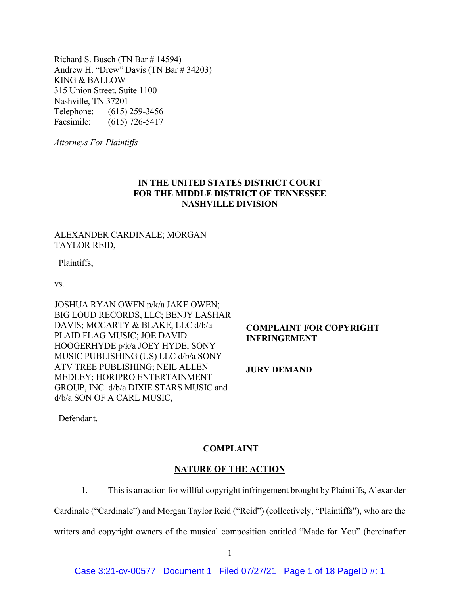Richard S. Busch (TN Bar # 14594) Andrew H. "Drew" Davis (TN Bar # 34203) KING & BALLOW 315 Union Street, Suite 1100 Nashville, TN 37201 Telephone: (615) 259-3456 Facsimile: (615) 726-5417

*Attorneys For Plaintiffs*

# **IN THE UNITED STATES DISTRICT COURT FOR THE MIDDLE DISTRICT OF TENNESSEE NASHVILLE DIVISION**

# ALEXANDER CARDINALE; MORGAN TAYLOR REID,

Plaintiffs,

vs.

JOSHUA RYAN OWEN p/k/a JAKE OWEN; BIG LOUD RECORDS, LLC; BENJY LASHAR DAVIS; MCCARTY & BLAKE, LLC d/b/a PLAID FLAG MUSIC; JOE DAVID HOOGERHYDE p/k/a JOEY HYDE; SONY MUSIC PUBLISHING (US) LLC d/b/a SONY ATV TREE PUBLISHING; NEIL ALLEN MEDLEY; HORIPRO ENTERTAINMENT GROUP, INC. d/b/a DIXIE STARS MUSIC and d/b/a SON OF A CARL MUSIC,

# **COMPLAINT FOR COPYRIGHT INFRINGEMENT**

**JURY DEMAND**

Defendant.

# **COMPLAINT**

## **NATURE OF THE ACTION**

1. This is an action for willful copyright infringement brought by Plaintiffs, Alexander

Cardinale ("Cardinale") and Morgan Taylor Reid ("Reid") (collectively, "Plaintiffs"), who are the

writers and copyright owners of the musical composition entitled "Made for You" (hereinafter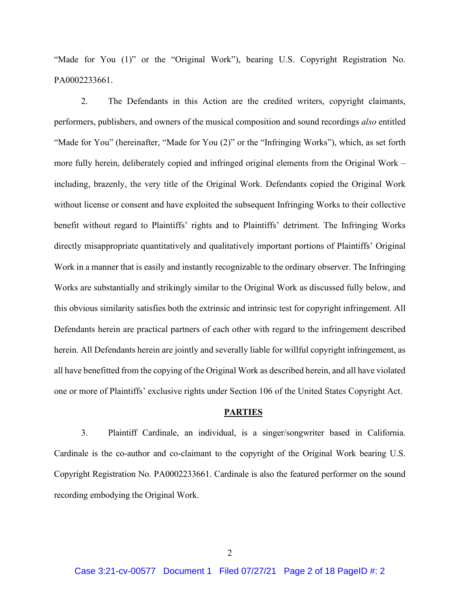"Made for You (1)" or the "Original Work"), bearing U.S. Copyright Registration No. PA0002233661.

2. The Defendants in this Action are the credited writers, copyright claimants, performers, publishers, and owners of the musical composition and sound recordings *also* entitled "Made for You" (hereinafter, "Made for You (2)" or the "Infringing Works"), which, as set forth more fully herein, deliberately copied and infringed original elements from the Original Work – including, brazenly, the very title of the Original Work. Defendants copied the Original Work without license or consent and have exploited the subsequent Infringing Works to their collective benefit without regard to Plaintiffs' rights and to Plaintiffs' detriment. The Infringing Works directly misappropriate quantitatively and qualitatively important portions of Plaintiffs' Original Work in a manner that is easily and instantly recognizable to the ordinary observer. The Infringing Works are substantially and strikingly similar to the Original Work as discussed fully below, and this obvious similarity satisfies both the extrinsic and intrinsic test for copyright infringement. All Defendants herein are practical partners of each other with regard to the infringement described herein. All Defendants herein are jointly and severally liable for willful copyright infringement, as all have benefitted from the copying of the Original Work as described herein, and all have violated one or more of Plaintiffs' exclusive rights under Section 106 of the United States Copyright Act.

### **PARTIES**

3. Plaintiff Cardinale, an individual, is a singer/songwriter based in California. Cardinale is the co-author and co-claimant to the copyright of the Original Work bearing U.S. Copyright Registration No. PA0002233661. Cardinale is also the featured performer on the sound recording embodying the Original Work.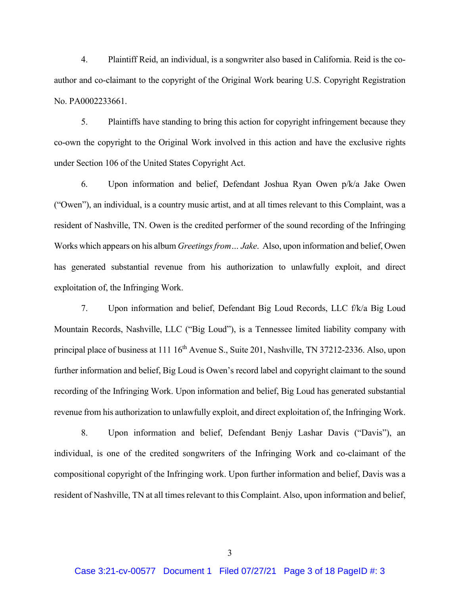4. Plaintiff Reid, an individual, is a songwriter also based in California. Reid is the coauthor and co-claimant to the copyright of the Original Work bearing U.S. Copyright Registration No. PA0002233661.

5. Plaintiffs have standing to bring this action for copyright infringement because they co-own the copyright to the Original Work involved in this action and have the exclusive rights under Section 106 of the United States Copyright Act.

6. Upon information and belief, Defendant Joshua Ryan Owen p/k/a Jake Owen ("Owen"), an individual, is a country music artist, and at all times relevant to this Complaint, was a resident of Nashville, TN. Owen is the credited performer of the sound recording of the Infringing Works which appears on his album *Greetings from ... Jake.* Also, upon information and belief, Owen has generated substantial revenue from his authorization to unlawfully exploit, and direct exploitation of, the Infringing Work.

7. Upon information and belief, Defendant Big Loud Records, LLC f/k/a Big Loud Mountain Records, Nashville, LLC ("Big Loud"), is a Tennessee limited liability company with principal place of business at 111 16<sup>th</sup> Avenue S., Suite 201, Nashville, TN 37212-2336. Also, upon further information and belief, Big Loud is Owen's record label and copyright claimant to the sound recording of the Infringing Work. Upon information and belief, Big Loud has generated substantial revenue from his authorization to unlawfully exploit, and direct exploitation of, the Infringing Work.

8. Upon information and belief, Defendant Benjy Lashar Davis ("Davis"), an individual, is one of the credited songwriters of the Infringing Work and co-claimant of the compositional copyright of the Infringing work. Upon further information and belief, Davis was a resident of Nashville, TN at all times relevant to this Complaint. Also, upon information and belief,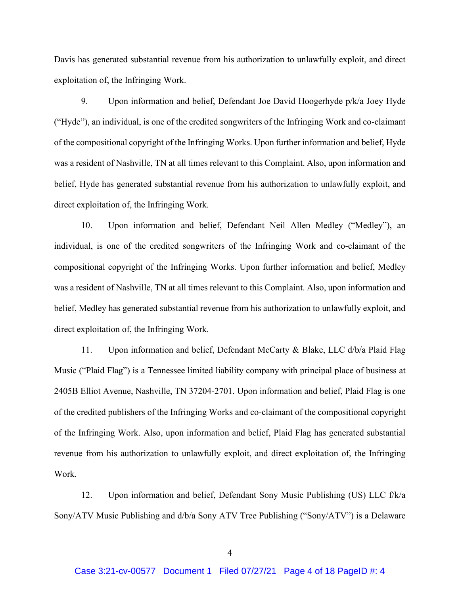Davis has generated substantial revenue from his authorization to unlawfully exploit, and direct exploitation of, the Infringing Work.

9. Upon information and belief, Defendant Joe David Hoogerhyde p/k/a Joey Hyde ("Hyde"), an individual, is one of the credited songwriters of the Infringing Work and co-claimant of the compositional copyright of the Infringing Works. Upon further information and belief, Hyde was a resident of Nashville, TN at all times relevant to this Complaint. Also, upon information and belief, Hyde has generated substantial revenue from his authorization to unlawfully exploit, and direct exploitation of, the Infringing Work.

10. Upon information and belief, Defendant Neil Allen Medley ("Medley"), an individual, is one of the credited songwriters of the Infringing Work and co-claimant of the compositional copyright of the Infringing Works. Upon further information and belief, Medley was a resident of Nashville, TN at all times relevant to this Complaint. Also, upon information and belief, Medley has generated substantial revenue from his authorization to unlawfully exploit, and direct exploitation of, the Infringing Work.

11. Upon information and belief, Defendant McCarty & Blake, LLC d/b/a Plaid Flag Music ("Plaid Flag") is a Tennessee limited liability company with principal place of business at 2405B Elliot Avenue, Nashville, TN 37204-2701. Upon information and belief, Plaid Flag is one of the credited publishers of the Infringing Works and co-claimant of the compositional copyright of the Infringing Work. Also, upon information and belief, Plaid Flag has generated substantial revenue from his authorization to unlawfully exploit, and direct exploitation of, the Infringing Work.

12. Upon information and belief, Defendant Sony Music Publishing (US) LLC f/k/a Sony/ATV Music Publishing and d/b/a Sony ATV Tree Publishing ("Sony/ATV") is a Delaware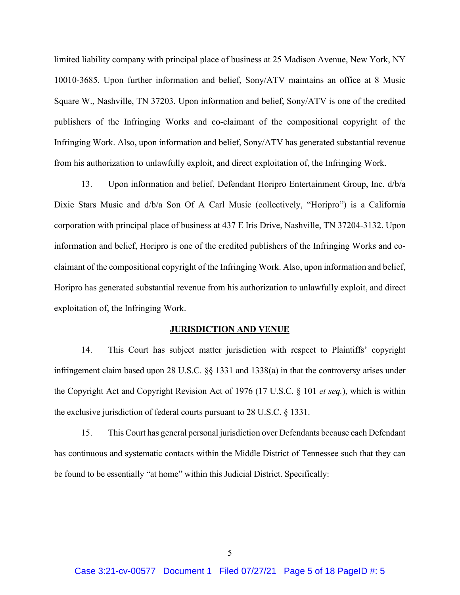limited liability company with principal place of business at 25 Madison Avenue, New York, NY 10010-3685. Upon further information and belief, Sony/ATV maintains an office at 8 Music Square W., Nashville, TN 37203. Upon information and belief, Sony/ATV is one of the credited publishers of the Infringing Works and co-claimant of the compositional copyright of the Infringing Work. Also, upon information and belief, Sony/ATV has generated substantial revenue from his authorization to unlawfully exploit, and direct exploitation of, the Infringing Work.

13. Upon information and belief, Defendant Horipro Entertainment Group, Inc. d/b/a Dixie Stars Music and d/b/a Son Of A Carl Music (collectively, "Horipro") is a California corporation with principal place of business at 437 E Iris Drive, Nashville, TN 37204-3132. Upon information and belief, Horipro is one of the credited publishers of the Infringing Works and coclaimant of the compositional copyright of the Infringing Work. Also, upon information and belief, Horipro has generated substantial revenue from his authorization to unlawfully exploit, and direct exploitation of, the Infringing Work.

#### **JURISDICTION AND VENUE**

14. This Court has subject matter jurisdiction with respect to Plaintiffs' copyright infringement claim based upon 28 U.S.C. §§ 1331 and 1338(a) in that the controversy arises under the Copyright Act and Copyright Revision Act of 1976 (17 U.S.C. § 101 *et seq.*), which is within the exclusive jurisdiction of federal courts pursuant to 28 U.S.C. § 1331.

15. This Court has general personal jurisdiction over Defendants because each Defendant has continuous and systematic contacts within the Middle District of Tennessee such that they can be found to be essentially "at home" within this Judicial District. Specifically: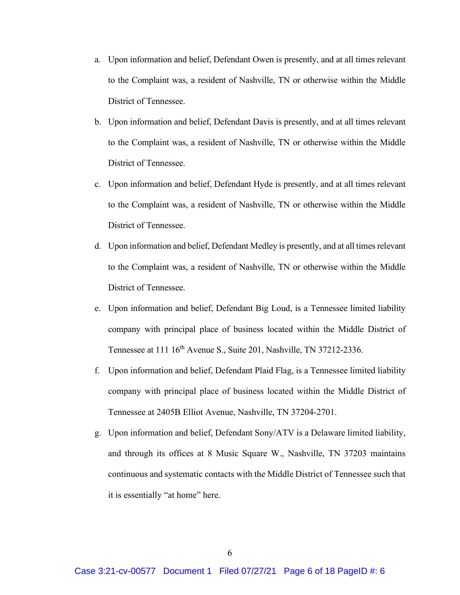- a. Upon information and belief, Defendant Owen is presently, and at all times relevant to the Complaint was, a resident of Nashville, TN or otherwise within the Middle District of Tennessee.
- b. Upon information and belief, Defendant Davis is presently, and at all times relevant to the Complaint was, a resident of Nashville, TN or otherwise within the Middle District of Tennessee.
- c. Upon information and belief, Defendant Hyde is presently, and at all times relevant to the Complaint was, a resident of Nashville, TN or otherwise within the Middle District of Tennessee.
- d. Upon information and belief, Defendant Medley is presently, and at all times relevant to the Complaint was, a resident of Nashville, TN or otherwise within the Middle District of Tennessee.
- e. Upon information and belief, Defendant Big Loud, is a Tennessee limited liability company with principal place of business located within the Middle District of Tennessee at 111 16<sup>th</sup> Avenue S., Suite 201, Nashville, TN 37212-2336.
- f. Upon information and belief, Defendant Plaid Flag, is a Tennessee limited liability company with principal place of business located within the Middle District of Tennessee at 2405B Elliot Avenue, Nashville, TN 37204-2701.
- g. Upon information and belief, Defendant Sony/ATV is a Delaware limited liability, and through its offices at 8 Music Square W., Nashville, TN 37203 maintains continuous and systematic contacts with the Middle District of Tennessee such that it is essentially "at home" here.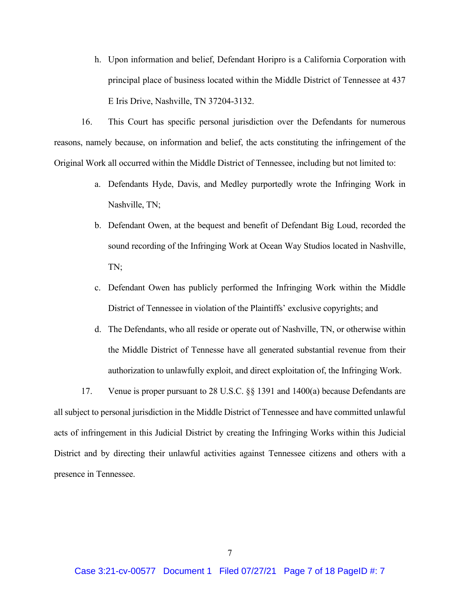h. Upon information and belief, Defendant Horipro is a California Corporation with principal place of business located within the Middle District of Tennessee at 437 E Iris Drive, Nashville, TN 37204-3132.

16. This Court has specific personal jurisdiction over the Defendants for numerous reasons, namely because, on information and belief, the acts constituting the infringement of the Original Work all occurred within the Middle District of Tennessee, including but not limited to:

- a. Defendants Hyde, Davis, and Medley purportedly wrote the Infringing Work in Nashville, TN;
- b. Defendant Owen, at the bequest and benefit of Defendant Big Loud, recorded the sound recording of the Infringing Work at Ocean Way Studios located in Nashville, TN;
- c. Defendant Owen has publicly performed the Infringing Work within the Middle District of Tennessee in violation of the Plaintiffs' exclusive copyrights; and
- d. The Defendants, who all reside or operate out of Nashville, TN, or otherwise within the Middle District of Tennesse have all generated substantial revenue from their authorization to unlawfully exploit, and direct exploitation of, the Infringing Work.

17. Venue is proper pursuant to 28 U.S.C. §§ 1391 and 1400(a) because Defendants are all subject to personal jurisdiction in the Middle District of Tennessee and have committed unlawful acts of infringement in this Judicial District by creating the Infringing Works within this Judicial District and by directing their unlawful activities against Tennessee citizens and others with a presence in Tennessee.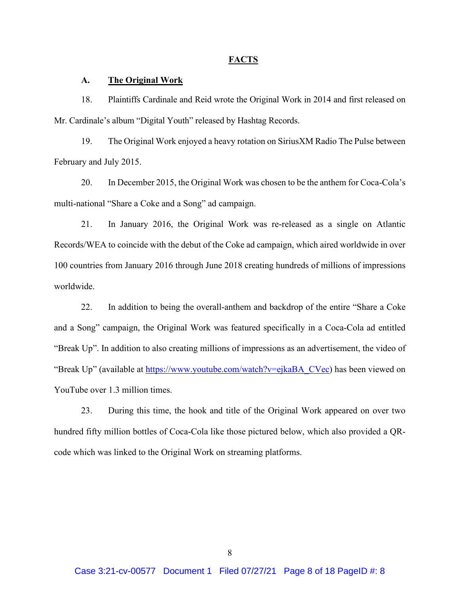#### **FACTS**

## **A. The Original Work**

18. Plaintiffs Cardinale and Reid wrote the Original Work in 2014 and first released on Mr. Cardinale's album "Digital Youth" released by Hashtag Records.

19. The Original Work enjoyed a heavy rotation on SiriusXM Radio The Pulse between February and July 2015.

20. In December 2015, the Original Work was chosen to be the anthem for Coca-Cola's multi-national "Share a Coke and a Song" ad campaign.

21. In January 2016, the Original Work was re-released as a single on Atlantic Records/WEA to coincide with the debut of the Coke ad campaign, which aired worldwide in over 100 countries from January 2016 through June 2018 creating hundreds of millions of impressions worldwide.

22. In addition to being the overall-anthem and backdrop of the entire "Share a Coke and a Song" campaign, the Original Work was featured specifically in a Coca-Cola ad entitled "Break Up". In addition to also creating millions of impressions as an advertisement, the video of "Break Up" (available at [https://www.youtube.com/watch?v=ejkaBA\\_CVec\)](https://www.youtube.com/watch?v=ejkaBA_CVec) has been viewed on YouTube over 1.3 million times.

23. During this time, the hook and title of the Original Work appeared on over two hundred fifty million bottles of Coca-Cola like those pictured below, which also provided a QRcode which was linked to the Original Work on streaming platforms.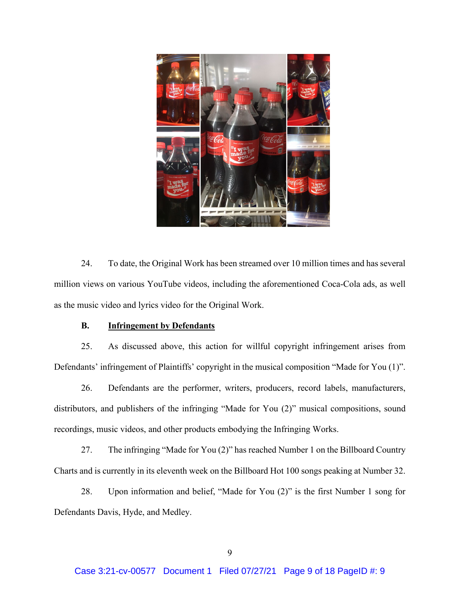

24. To date, the Original Work has been streamed over 10 million times and has several million views on various YouTube videos, including the aforementioned Coca-Cola ads, as well as the music video and lyrics video for the Original Work.

# **B. Infringement by Defendants**

25. As discussed above, this action for willful copyright infringement arises from Defendants' infringement of Plaintiffs' copyright in the musical composition "Made for You (1)".

26. Defendants are the performer, writers, producers, record labels, manufacturers, distributors, and publishers of the infringing "Made for You (2)" musical compositions, sound recordings, music videos, and other products embodying the Infringing Works.

27. The infringing "Made for You (2)" has reached Number 1 on the Billboard Country Charts and is currently in its eleventh week on the Billboard Hot 100 songs peaking at Number 32.

28. Upon information and belief, "Made for You (2)" is the first Number 1 song for Defendants Davis, Hyde, and Medley.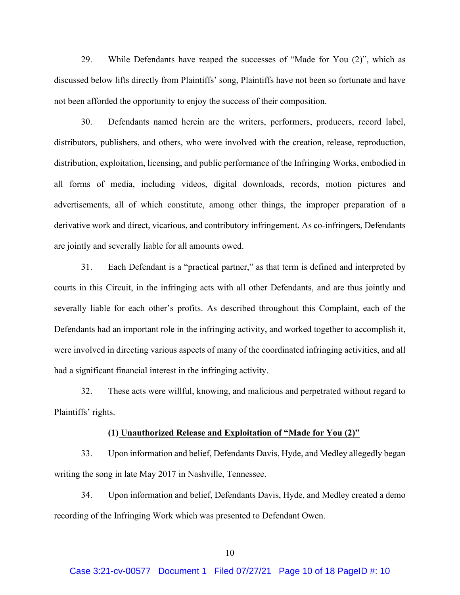29. While Defendants have reaped the successes of "Made for You (2)", which as discussed below lifts directly from Plaintiffs' song, Plaintiffs have not been so fortunate and have not been afforded the opportunity to enjoy the success of their composition.

30. Defendants named herein are the writers, performers, producers, record label, distributors, publishers, and others, who were involved with the creation, release, reproduction, distribution, exploitation, licensing, and public performance of the Infringing Works, embodied in all forms of media, including videos, digital downloads, records, motion pictures and advertisements, all of which constitute, among other things, the improper preparation of a derivative work and direct, vicarious, and contributory infringement. As co-infringers, Defendants are jointly and severally liable for all amounts owed.

31. Each Defendant is a "practical partner," as that term is defined and interpreted by courts in this Circuit, in the infringing acts with all other Defendants, and are thus jointly and severally liable for each other's profits. As described throughout this Complaint, each of the Defendants had an important role in the infringing activity, and worked together to accomplish it, were involved in directing various aspects of many of the coordinated infringing activities, and all had a significant financial interest in the infringing activity.

32. These acts were willful, knowing, and malicious and perpetrated without regard to Plaintiffs' rights.

#### **(1) Unauthorized Release and Exploitation of "Made for You (2)"**

33. Upon information and belief, Defendants Davis, Hyde, and Medley allegedly began writing the song in late May 2017 in Nashville, Tennessee.

34. Upon information and belief, Defendants Davis, Hyde, and Medley created a demo recording of the Infringing Work which was presented to Defendant Owen.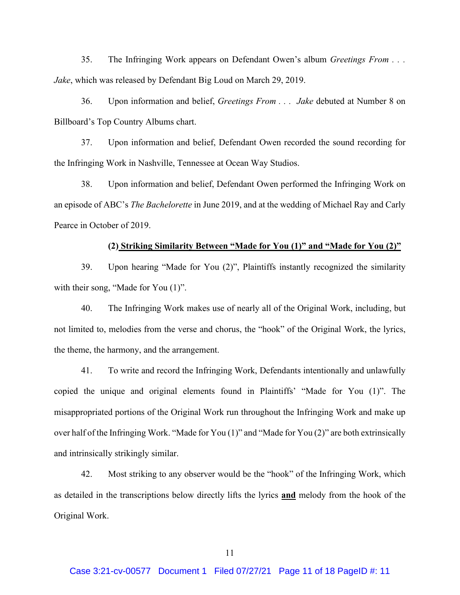35. The Infringing Work appears on Defendant Owen's album *Greetings From . . . Jake*, which was released by Defendant Big Loud on March 29, 2019.

36. Upon information and belief, *Greetings From . . . Jake* debuted at Number 8 on Billboard's Top Country Albums chart.

37. Upon information and belief, Defendant Owen recorded the sound recording for the Infringing Work in Nashville, Tennessee at Ocean Way Studios.

38. Upon information and belief, Defendant Owen performed the Infringing Work on an episode of ABC's *The Bachelorette* in June 2019, and at the wedding of Michael Ray and Carly Pearce in October of 2019.

### **(2) Striking Similarity Between "Made for You (1)" and "Made for You (2)"**

39. Upon hearing "Made for You (2)", Plaintiffs instantly recognized the similarity with their song, "Made for You  $(1)$ ".

40. The Infringing Work makes use of nearly all of the Original Work, including, but not limited to, melodies from the verse and chorus, the "hook" of the Original Work, the lyrics, the theme, the harmony, and the arrangement.

41. To write and record the Infringing Work, Defendants intentionally and unlawfully copied the unique and original elements found in Plaintiffs' "Made for You (1)". The misappropriated portions of the Original Work run throughout the Infringing Work and make up over half of the Infringing Work. "Made for You (1)" and "Made for You (2)" are both extrinsically and intrinsically strikingly similar.

42. Most striking to any observer would be the "hook" of the Infringing Work, which as detailed in the transcriptions below directly lifts the lyrics **and** melody from the hook of the Original Work.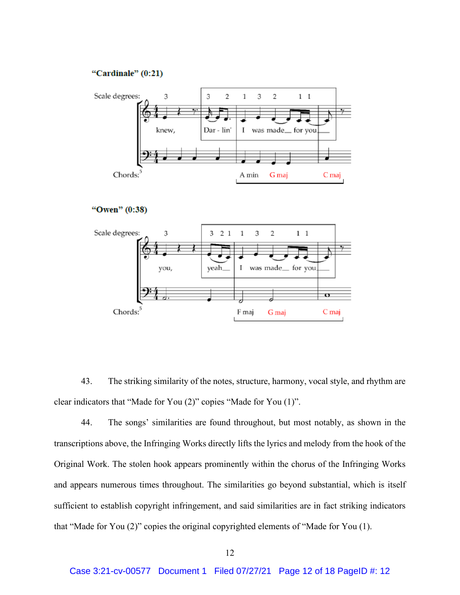## "Cardinale" (0:21)



```
"Owen" (0:38)
```


43. The striking similarity of the notes, structure, harmony, vocal style, and rhythm are clear indicators that "Made for You (2)" copies "Made for You (1)".

44. The songs' similarities are found throughout, but most notably, as shown in the transcriptions above, the Infringing Works directly lifts the lyrics and melody from the hook of the Original Work. The stolen hook appears prominently within the chorus of the Infringing Works and appears numerous times throughout. The similarities go beyond substantial, which is itself sufficient to establish copyright infringement, and said similarities are in fact striking indicators that "Made for You (2)" copies the original copyrighted elements of "Made for You (1).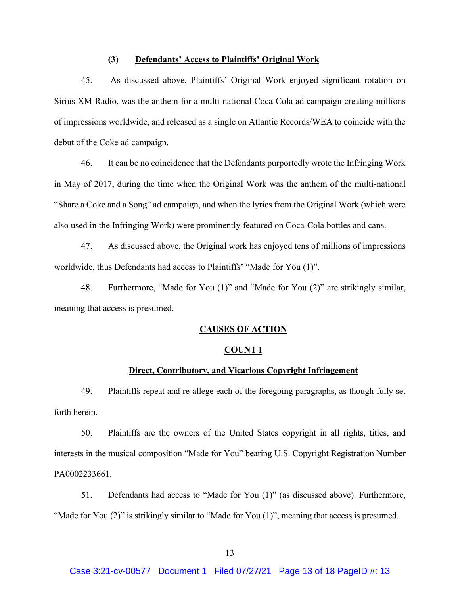## **(3) Defendants' Access to Plaintiffs' Original Work**

45. As discussed above, Plaintiffs' Original Work enjoyed significant rotation on Sirius XM Radio, was the anthem for a multi-national Coca-Cola ad campaign creating millions of impressions worldwide, and released as a single on Atlantic Records/WEA to coincide with the debut of the Coke ad campaign.

46. It can be no coincidence that the Defendants purportedly wrote the Infringing Work in May of 2017, during the time when the Original Work was the anthem of the multi-national "Share a Coke and a Song" ad campaign, and when the lyrics from the Original Work (which were also used in the Infringing Work) were prominently featured on Coca-Cola bottles and cans.

47. As discussed above, the Original work has enjoyed tens of millions of impressions worldwide, thus Defendants had access to Plaintiffs' "Made for You (1)".

48. Furthermore, "Made for You (1)" and "Made for You (2)" are strikingly similar, meaning that access is presumed.

## **CAUSES OF ACTION**

#### **COUNT I**

# **Direct, Contributory, and Vicarious Copyright Infringement**

49. Plaintiffs repeat and re-allege each of the foregoing paragraphs, as though fully set forth herein.

50. Plaintiffs are the owners of the United States copyright in all rights, titles, and interests in the musical composition "Made for You" bearing U.S. Copyright Registration Number PA0002233661.

51. Defendants had access to "Made for You (1)" (as discussed above). Furthermore, "Made for You (2)" is strikingly similar to "Made for You (1)", meaning that access is presumed.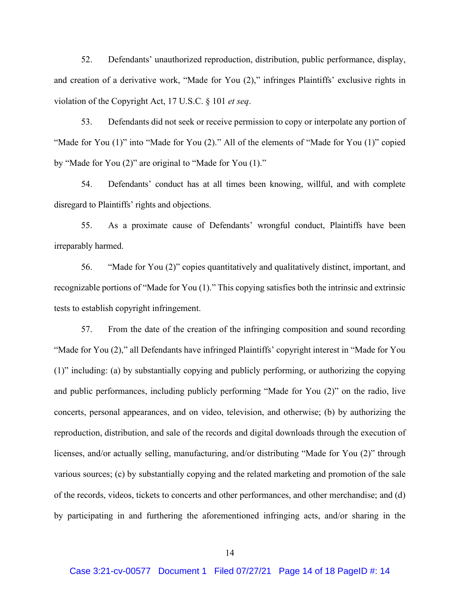52. Defendants' unauthorized reproduction, distribution, public performance, display, and creation of a derivative work, "Made for You (2)," infringes Plaintiffs' exclusive rights in violation of the Copyright Act, 17 U.S.C. § 101 *et seq*.

53. Defendants did not seek or receive permission to copy or interpolate any portion of "Made for You  $(1)$ " into "Made for You  $(2)$ ." All of the elements of "Made for You  $(1)$ " copied by "Made for You (2)" are original to "Made for You (1)."

54. Defendants' conduct has at all times been knowing, willful, and with complete disregard to Plaintiffs' rights and objections.

55. As a proximate cause of Defendants' wrongful conduct, Plaintiffs have been irreparably harmed.

56. "Made for You (2)" copies quantitatively and qualitatively distinct, important, and recognizable portions of "Made for You (1)." This copying satisfies both the intrinsic and extrinsic tests to establish copyright infringement.

57. From the date of the creation of the infringing composition and sound recording "Made for You (2)," all Defendants have infringed Plaintiffs' copyright interest in "Made for You (1)" including: (a) by substantially copying and publicly performing, or authorizing the copying and public performances, including publicly performing "Made for You (2)" on the radio, live concerts, personal appearances, and on video, television, and otherwise; (b) by authorizing the reproduction, distribution, and sale of the records and digital downloads through the execution of licenses, and/or actually selling, manufacturing, and/or distributing "Made for You (2)" through various sources; (c) by substantially copying and the related marketing and promotion of the sale of the records, videos, tickets to concerts and other performances, and other merchandise; and (d) by participating in and furthering the aforementioned infringing acts, and/or sharing in the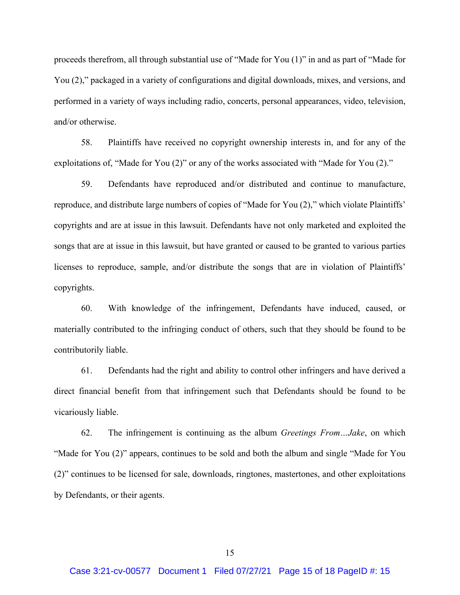proceeds therefrom, all through substantial use of "Made for You (1)" in and as part of "Made for You (2)," packaged in a variety of configurations and digital downloads, mixes, and versions, and performed in a variety of ways including radio, concerts, personal appearances, video, television, and/or otherwise.

58. Plaintiffs have received no copyright ownership interests in, and for any of the exploitations of, "Made for You (2)" or any of the works associated with "Made for You (2)."

59. Defendants have reproduced and/or distributed and continue to manufacture, reproduce, and distribute large numbers of copies of "Made for You (2)," which violate Plaintiffs' copyrights and are at issue in this lawsuit. Defendants have not only marketed and exploited the songs that are at issue in this lawsuit, but have granted or caused to be granted to various parties licenses to reproduce, sample, and/or distribute the songs that are in violation of Plaintiffs' copyrights.

60. With knowledge of the infringement, Defendants have induced, caused, or materially contributed to the infringing conduct of others, such that they should be found to be contributorily liable.

61. Defendants had the right and ability to control other infringers and have derived a direct financial benefit from that infringement such that Defendants should be found to be vicariously liable.

62. The infringement is continuing as the album *Greetings From…Jake*, on which "Made for You (2)" appears, continues to be sold and both the album and single "Made for You (2)" continues to be licensed for sale, downloads, ringtones, mastertones, and other exploitations by Defendants, or their agents.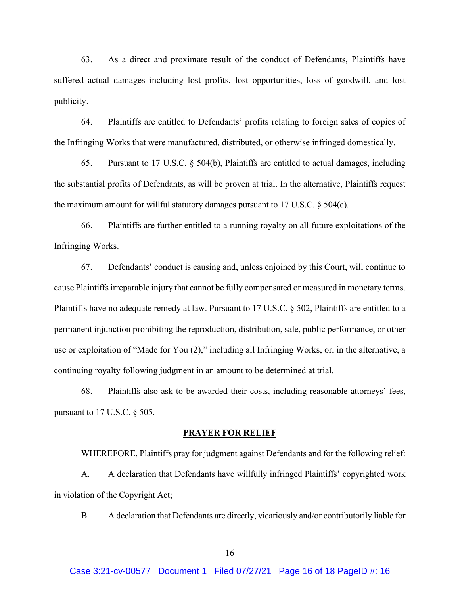63. As a direct and proximate result of the conduct of Defendants, Plaintiffs have suffered actual damages including lost profits, lost opportunities, loss of goodwill, and lost publicity.

64. Plaintiffs are entitled to Defendants' profits relating to foreign sales of copies of the Infringing Works that were manufactured, distributed, or otherwise infringed domestically.

65. Pursuant to 17 U.S.C. § 504(b), Plaintiffs are entitled to actual damages, including the substantial profits of Defendants, as will be proven at trial. In the alternative, Plaintiffs request the maximum amount for willful statutory damages pursuant to 17 U.S.C. § 504(c).

66. Plaintiffs are further entitled to a running royalty on all future exploitations of the Infringing Works.

67. Defendants' conduct is causing and, unless enjoined by this Court, will continue to cause Plaintiffs irreparable injury that cannot be fully compensated or measured in monetary terms. Plaintiffs have no adequate remedy at law. Pursuant to 17 U.S.C. § 502, Plaintiffs are entitled to a permanent injunction prohibiting the reproduction, distribution, sale, public performance, or other use or exploitation of "Made for You (2)," including all Infringing Works, or, in the alternative, a continuing royalty following judgment in an amount to be determined at trial.

68. Plaintiffs also ask to be awarded their costs, including reasonable attorneys' fees, pursuant to 17 U.S.C. § 505.

#### **PRAYER FOR RELIEF**

WHEREFORE, Plaintiffs pray for judgment against Defendants and for the following relief: A. A declaration that Defendants have willfully infringed Plaintiffs' copyrighted work in violation of the Copyright Act;

B. A declaration that Defendants are directly, vicariously and/or contributorily liable for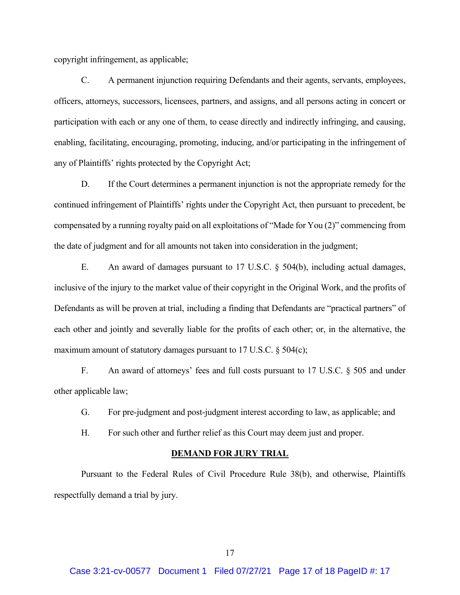copyright infringement, as applicable;

C. A permanent injunction requiring Defendants and their agents, servants, employees, officers, attorneys, successors, licensees, partners, and assigns, and all persons acting in concert or participation with each or any one of them, to cease directly and indirectly infringing, and causing, enabling, facilitating, encouraging, promoting, inducing, and/or participating in the infringement of any of Plaintiffs' rights protected by the Copyright Act;

D. If the Court determines a permanent injunction is not the appropriate remedy for the continued infringement of Plaintiffs' rights under the Copyright Act, then pursuant to precedent, be compensated by a running royalty paid on all exploitations of "Made for You (2)" commencing from the date of judgment and for all amounts not taken into consideration in the judgment;

E. An award of damages pursuant to 17 U.S.C. § 504(b), including actual damages, inclusive of the injury to the market value of their copyright in the Original Work, and the profits of Defendants as will be proven at trial, including a finding that Defendants are "practical partners" of each other and jointly and severally liable for the profits of each other; or, in the alternative, the maximum amount of statutory damages pursuant to 17 U.S.C. § 504(c);

F. An award of attorneys' fees and full costs pursuant to 17 U.S.C. § 505 and under other applicable law;

- G. For pre-judgment and post-judgment interest according to law, as applicable; and
- H. For such other and further relief as this Court may deem just and proper.

#### **DEMAND FOR JURY TRIAL**

Pursuant to the Federal Rules of Civil Procedure Rule 38(b), and otherwise, Plaintiffs respectfully demand a trial by jury.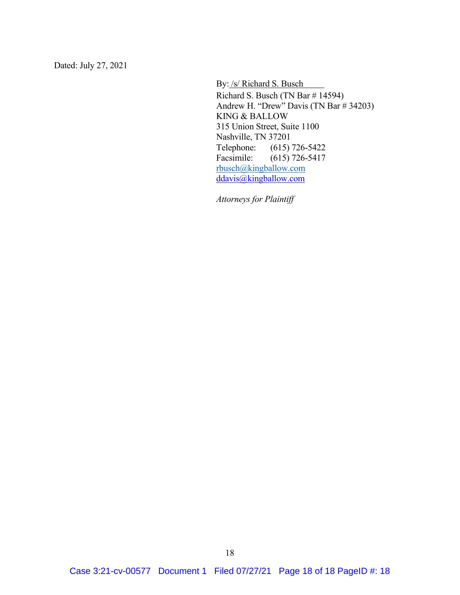Dated: July 27, 2021

By: /s/ Richard S. Busch

Richard S. Busch (TN Bar # 14594) Andrew H. "Drew" Davis (TN Bar # 34203) KING & BALLOW 315 Union Street, Suite 1100 Nashville, TN 37201 Telephone: (615) 726-5422 Facsimile: (615) 726-5417 [rbusch@kingballow.com](mailto:rbusch@kingballow.com) [ddavis@kingballow.com](mailto:ddavis@kingballow.com)

*Attorneys for Plaintiff*